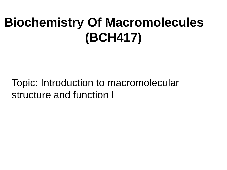## **Biochemistry Of Macromolecules (BCH417)**

Topic: Introduction to macromolecular structure and function I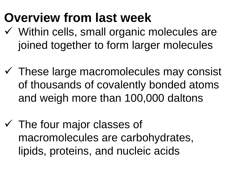#### **Overview from last week**

- $\checkmark$  Within cells, small organic molecules are joined together to form larger molecules
- $\checkmark$  These large macromolecules may consist of thousands of covalently bonded atoms and weigh more than 100,000 daltons
- $\checkmark$  The four major classes of macromolecules are carbohydrates, lipids, proteins, and nucleic acids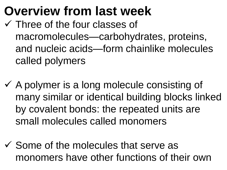#### **Overview from last week**

- $\checkmark$  Three of the four classes of macromolecules—carbohydrates, proteins, and nucleic acids—form chainlike molecules called polymers
- $\checkmark$  A polymer is a long molecule consisting of many similar or identical building blocks linked by covalent bonds: the repeated units are small molecules called monomers
- $\checkmark$  Some of the molecules that serve as monomers have other functions of their own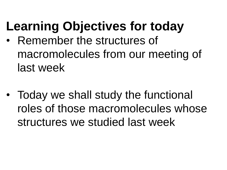# **Learning Objectives for today**

- Remember the structures of macromolecules from our meeting of last week
- Today we shall study the functional roles of those macromolecules whose structures we studied last week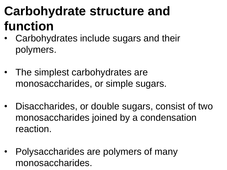# **Carbohydrate structure and function**

- Carbohydrates include sugars and their polymers.
- The simplest carbohydrates are monosaccharides, or simple sugars.
- Disaccharides, or double sugars, consist of two monosaccharides joined by a condensation reaction.
- Polysaccharides are polymers of many monosaccharides.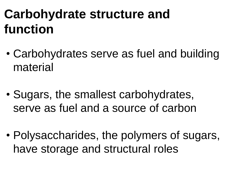## **Carbohydrate structure and function**

- Carbohydrates serve as fuel and building material
- Sugars, the smallest carbohydrates, serve as fuel and a source of carbon
- Polysaccharides, the polymers of sugars, have storage and structural roles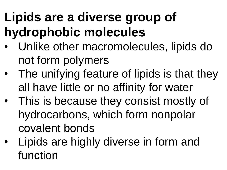# **Lipids are a diverse group of hydrophobic molecules**

- Unlike other macromolecules, lipids do not form polymers
- The unifying feature of lipids is that they all have little or no affinity for water
- This is because they consist mostly of hydrocarbons, which form nonpolar covalent bonds
- Lipids are highly diverse in form and function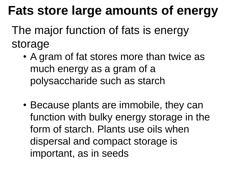#### **Fats store large amounts of energy**

The major function of fats is energy storage

- A gram of fat stores more than twice as much energy as a gram of a polysaccharide such as starch
- Because plants are immobile, they can function with bulky energy storage in the form of starch. Plants use oils when dispersal and compact storage is important, as in seeds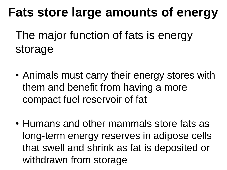#### **Fats store large amounts of energy**

The major function of fats is energy storage

- Animals must carry their energy stores with them and benefit from having a more compact fuel reservoir of fat
- Humans and other mammals store fats as long-term energy reserves in adipose cells that swell and shrink as fat is deposited or withdrawn from storage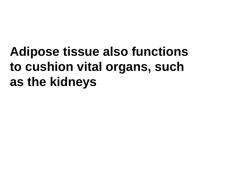# **Adipose tissue also functions to cushion vital organs, such as the kidneys**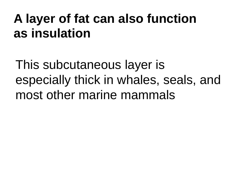#### **A layer of fat can also function as insulation**

This subcutaneous layer is especially thick in whales, seals, and most other marine mammals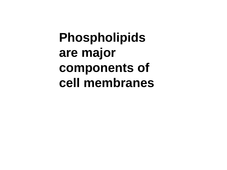**Phospholipids are major components of cell membranes**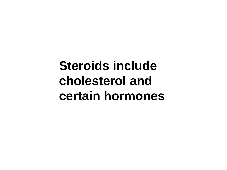#### **Steroids include cholesterol and certain hormones**